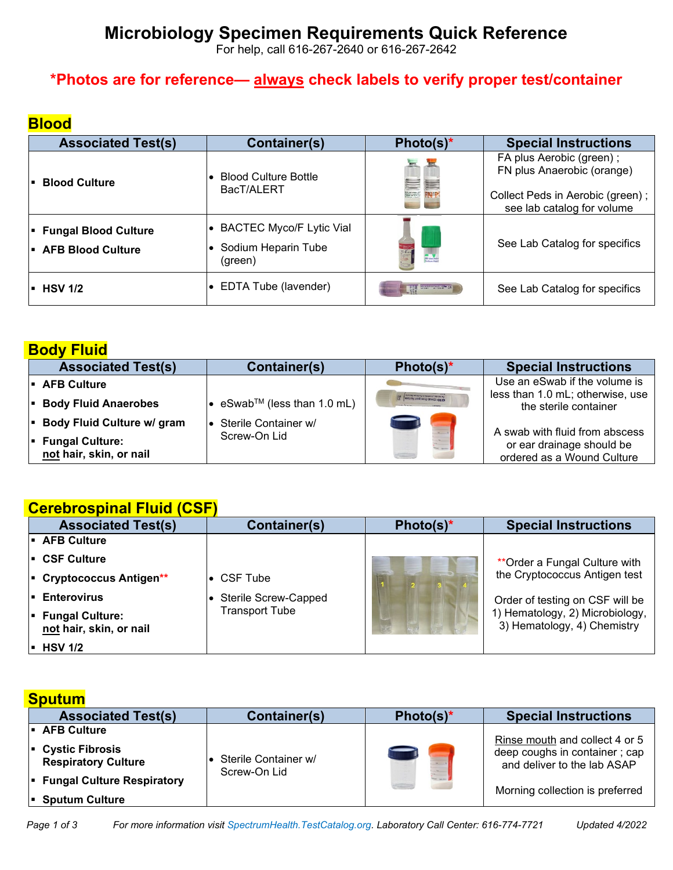# **Microbiology Specimen Requirements Quick Reference**

For help, call 616-267-2640 or 616-267-2642

## **\*Photos are for reference— always check labels to verify proper test/container**

## **Blood**

| <b>Associated Test(s)</b>                          | Container(s)                                                      | Photo(s)*        | <b>Special Instructions</b>                                                                                                |
|----------------------------------------------------|-------------------------------------------------------------------|------------------|----------------------------------------------------------------------------------------------------------------------------|
| <b>Blood Culture</b>                               | <b>Blood Culture Bottle</b><br>BacT/ALERT                         | <b>EXECUT</b>    | FA plus Aerobic (green);<br>FN plus Anaerobic (orange)<br>Collect Peds in Aerobic (green);  <br>see lab catalog for volume |
| <b>Fungal Blood Culture</b><br>- AFB Blood Culture | <b>BACTEC Myco/F Lytic Vial</b><br>Sodium Heparin Tube<br>(green) | <b>TO Vacusa</b> | See Lab Catalog for specifics                                                                                              |
| <b>HSV 1/2</b>                                     | $\bullet$ EDTA Tube (lavender)                                    |                  | See Lab Catalog for specifics                                                                                              |

## **Body Fluid**

| <b>Associated Test(s)</b>                         | Container(s)                             | Photo(s) $*$                 | <b>Special Instructions</b>                               |
|---------------------------------------------------|------------------------------------------|------------------------------|-----------------------------------------------------------|
| - AFB Culture                                     |                                          |                              | Use an eSwab if the volume is                             |
| <b>Body Fluid Anaerobes</b>                       | • eSwab <sup>TM</sup> (less than 1.0 mL) | mastrie ranginal dawel du te | less than 1.0 mL; otherwise, use<br>the sterile container |
| Body Fluid Culture w/ gram                        | l● Sterile Container w/                  |                              | A swab with fluid from abscess                            |
| <b>Fungal Culture:</b><br>not hair, skin, or nail | Screw-On Lid                             |                              | or ear drainage should be<br>ordered as a Wound Culture   |

#### **Cerebrospinal Fluid (CSF)**

| <b>Associated Test(s)</b>                         | <b>Container(s)</b>         | Photo(s) $*$ | <b>Special Instructions</b>                                    |
|---------------------------------------------------|-----------------------------|--------------|----------------------------------------------------------------|
| I AFB Culture                                     |                             |              |                                                                |
| I■ CSF Culture                                    |                             |              | ** Order a Fungal Culture with                                 |
| Cryptococcus Antigen**                            | CSF Tube                    |              | the Cryptococcus Antigen test                                  |
| <b>Enterovirus</b>                                | <b>Sterile Screw-Capped</b> |              | Order of testing on CSF will be                                |
| <b>Fungal Culture:</b><br>not hair, skin, or nail | <b>Transport Tube</b>       |              | 1) Hematology, 2) Microbiology,<br>3) Hematology, 4) Chemistry |
| $\blacksquare$ HSV 1/2                            |                             |              |                                                                |

## **Sputum**

| <b>Associated Test(s)</b>                                         | Container(s)                         | Photo(s) $*$ | <b>Special Instructions</b>                                  |
|-------------------------------------------------------------------|--------------------------------------|--------------|--------------------------------------------------------------|
| I. AFB Culture                                                    |                                      |              | Rinse mouth and collect 4 or 5                               |
| $\vert \cdot \vert$ Cystic Fibrosis<br><b>Respiratory Culture</b> | Sterile Container w/<br>Screw-On Lid |              | deep coughs in container; cap<br>and deliver to the lab ASAP |
| Fungal Culture Respiratory<br>- Sputum Culture                    |                                      | $\sim$       | Morning collection is preferred                              |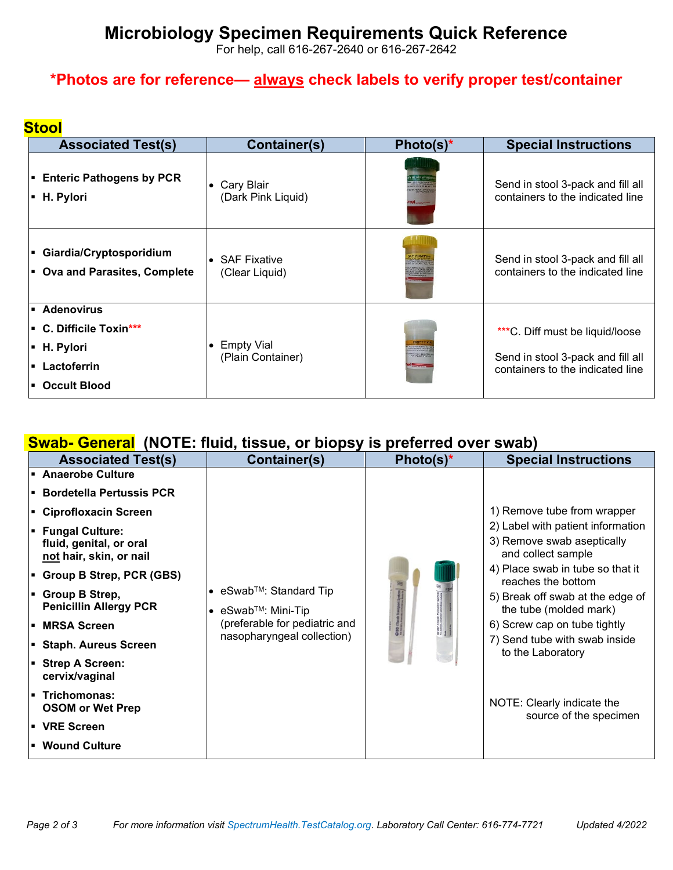## **Microbiology Specimen Requirements Quick Reference**

For help, call 616-267-2640 or 616-267-2642

## **\*Photos are for reference— always check labels to verify proper test/container**

#### **Stool**

| <b>Associated Test(s)</b>                                                                 | <b>Container(s)</b>               | Photo(s)*              | <b>Special Instructions</b>                                                                              |
|-------------------------------------------------------------------------------------------|-----------------------------------|------------------------|----------------------------------------------------------------------------------------------------------|
| <b>Enteric Pathogens by PCR</b>                                                           | • Cary Blair                      | <b>BLAIRW</b>          | Send in stool 3-pack and fill all                                                                        |
| • H. Pylori                                                                               | (Dark Pink Liquid)                | 10 <i>mm</i>           | containers to the indicated line                                                                         |
| - Giardia/Cryptosporidium                                                                 | $\bullet$ SAF Fixative            |                        | Send in stool 3-pack and fill all                                                                        |
| • Ova and Parasites, Complete                                                             | (Clear Liquid)                    |                        | containers to the indicated line                                                                         |
| • Adenovirus<br>• C. Difficile Toxin***<br>• H. Pylori<br>• Lactoferrin<br>• Occult Blood | • Empty Vial<br>(Plain Container) | <b>HER DE EN BIOTS</b> | ***C. Diff must be liquid/loose<br>Send in stool 3-pack and fill all<br>containers to the indicated line |

### **Swab- General (NOTE: fluid, tissue, or biopsy is preferred over swab)**

| <b>Associated Test(s)</b>                                                    | Container(s)                                               | Photo(s)* | <b>Special Instructions</b>                                                           |
|------------------------------------------------------------------------------|------------------------------------------------------------|-----------|---------------------------------------------------------------------------------------|
| <b>Anaerobe Culture</b>                                                      |                                                            |           |                                                                                       |
| <b>Bordetella Pertussis PCR</b>                                              |                                                            |           |                                                                                       |
| Ciprofloxacin Screen                                                         |                                                            |           | 1) Remove tube from wrapper                                                           |
| <b>Fungal Culture:</b><br>fluid, genital, or oral<br>not hair, skin, or nail |                                                            |           | 2) Label with patient information<br>3) Remove swab aseptically<br>and collect sample |
| <b>E</b> Group B Strep, PCR (GBS)                                            |                                                            |           | 4) Place swab in tube so that it<br>reaches the bottom                                |
| ■ Group B Strep,<br><b>Penicillin Allergy PCR</b>                            | • $eSwab^{TM}$ : Standard Tip<br>• $eSwab^{TM}$ : Mini-Tip |           | 5) Break off swab at the edge of<br>the tube (molded mark)                            |
| I■ MRSA Screen                                                               | (preferable for pediatric and                              |           | 6) Screw cap on tube tightly                                                          |
| Staph. Aureus Screen                                                         | nasopharyngeal collection)                                 |           | 7) Send tube with swab inside<br>to the Laboratory                                    |
| Strep A Screen:<br>cervix/vaginal                                            |                                                            |           |                                                                                       |
| Trichomonas:<br><b>OSOM or Wet Prep</b>                                      |                                                            |           | NOTE: Clearly indicate the<br>source of the specimen                                  |
| l▪ VRE Screen                                                                |                                                            |           |                                                                                       |
| • Wound Culture                                                              |                                                            |           |                                                                                       |